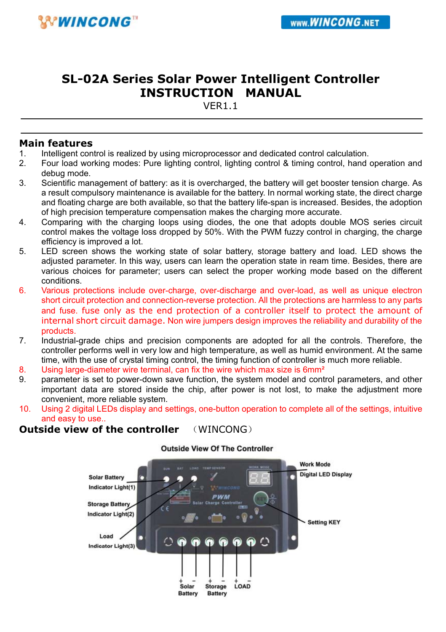# **SL-02A Series Solar Power Intelligent Controller INSTRUCTION MANUAL**

V<sub>FR1</sub>1

#### **Main features**

- 1. Intelligent control is realized by using microprocessor and dedicated control calculation.
- 2. Four load working modes: Pure lighting control, lighting control & timing control, hand operation and debug mode.
- 3. Scientific management of battery: as it is overcharged, the battery will get booster tension charge. As a result compulsory maintenance is available for the battery. In normal working state, the direct charge and floating charge are both available, so that the battery life-span is increased. Besides, the adoption of high precision temperature compensation makes the charging more accurate.
- 4. Comparing with the charging loops using diodes, the one that adopts double MOS series circuit control makes the voltage loss dropped by 50%. With the PWM fuzzy control in charging, the charge efficiency is improved a lot.
- 5. LED screen shows the working state of solar battery, storage battery and load. LED shows the adjusted parameter. In this way, users can learn the operation state in ream time. Besides, there are various choices for parameter; users can select the proper working mode based on the different conditions.
- 6. Various protections include over-charge, over-discharge and over-load, as well as unique electron short circuit protection and connection-reverse protection. All the protections are harmless to any parts and fuse. fuse only as the end protection of a controller itself to protect the amount of internal short circuit damage. Non wire jumpers design improves the reliability and durability of the products.
- 7. Industrial-grade chips and precision components are adopted for all the controls. Therefore, the controller performs well in very low and high temperature, as well as humid environment. At the same time, with the use of crystal timing control, the timing function of controller is much more reliable.
- 8. Using large-diameter wire terminal, can fix the wire which max size is 6mm<sup>2</sup>
- 9. parameter is set to power-down save function, the system model and control parameters, and other important data are stored inside the chip, after power is not lost, to make the adjustment more convenient, more reliable system.
- 10. Using 2 digital LEDs display and settings, one-button operation to complete all of the settings, intuitive and easy to use..

#### **Outside view of the controller** (WINCONG)



**Outside View Of The Controller**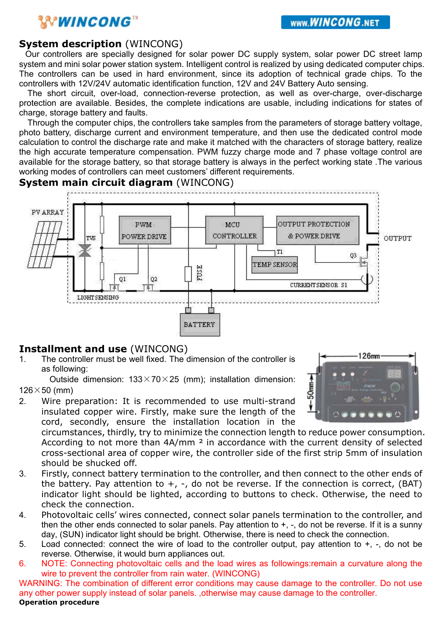# **WINCONG**

#### **System description** (WINCONG)

Our controllers are specially designed for solar power DC supply system, solar power DC street lamp system and mini solar power station system. Intelligent control is realized by using dedicated computer chips. The controllers can be used in hard environment, since its adoption of technical grade chips. To the controllers with 12V/24V automatic identification function, 12V and 24V Battery Auto sensing.

The short circuit, over-load, connection-reverse protection, as well as over-charge, over-discharge protection are available. Besides, the complete indications are usable, including indications for states of charge, storage battery and faults.

Through the computer chips, the controllers take samples from the parameters of storage battery voltage, photo battery, discharge current and environment temperature, and then use the dedicated control mode calculation to control the discharge rate and make it matched with the characters of storage battery, realize the high accurate temperature compensation. PWM fuzzy charge mode and 7 phase voltage control are available for the storage battery, so that storage battery is always in the perfect working state .The various working modes of controllers can meet customers' different requirements.

#### **System main circuit diagram** (WINCONG)



#### **Installment and use** (WINCONG)

1. The controller must be well fixed. The dimension of the controller is as following:

Outside dimension:  $133 \times 70 \times 25$  (mm); installation dimension:  $126\times50$  (mm)

2. Wire preparation: It is recommended to use multi-strand insulated copper wire. Firstly, make sure the length of the cord, secondly, ensure the installation location in the

circumstances, thirdly, try to minimize the connection length to reduce power consumption. According to not more than  $4A/mm$  <sup>2</sup> in accordance with the current density of selected cross-sectional area of copper wire, the controller side of the first strip 5mm of insulation should be shucked off.

- 3. Firstly, connect battery termination to the controller, and then connect to the other ends of the battery. Pay attention to  $+$ ,  $-$ , do not be reverse. If the connection is correct, (BAT) indicator light should be lighted, according to buttons to check. Otherwise, the need to check the connection.
- 4. Photovoltaic cells' wires connected, connect solar panels termination to the controller, and then the other ends connected to solar panels. Pay attention to  $+$ ,  $-$ , do not be reverse. If it is a sunny day, (SUN) indicator light should be bright. Otherwise, there is need to check the connection.
- 5. Load connected: connect the wire of load to the controller output, pay attention to +, -, do not be reverse. Otherwise, it would burn appliances out.
- 6. NOTE: Connecting photovoltaic cells and the load wires as followings:remain a curvature along the wire to prevent the controller from rain water. (WINCONG)

WARNING: The combination of different error conditions may cause damage to the controller. Do not use any other power supply instead of solar panels. ,otherwise may cause damage to the controller. **Operation procedure** 

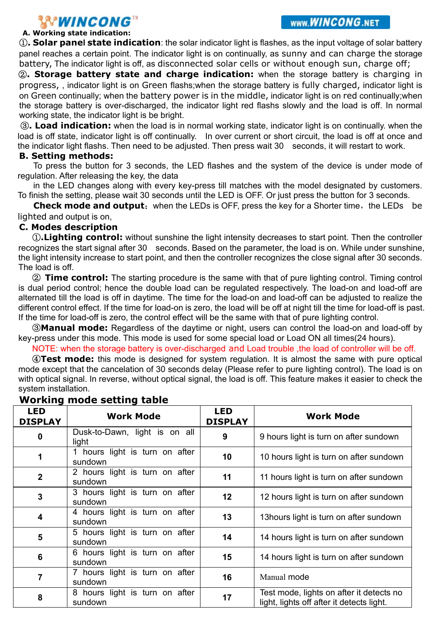# **A. WINCONG**<sup>TM</sup><br>A. Working state indication:

①**. Solar panel state indication**: the solar indicator light is flashes, as the input voltage of solar battery panel reaches a certain point. The indicator light is on continually, as sunny and can charge the storage battery, The indicator light is off, as disconnected solar cells or without enough sun, charge off;

②**. Storage battery state and charge indication:** when the storage battery is charging in progress, , indicator light is on Green flashs;when the storage battery is fully charged, indicator light is on Green continually; when the battery power is in the middle, indicator light is on red continually;when the storage battery is over-discharged, the indicator light red flashs slowly and the load is off. In normal working state, the indicator light is be bright.

③**. Load indication:** when the load is in normal working state, indicator light is on continually. when the load is off state, indicator light is off continually. In over current or short circuit, the load is off at once and the indicator light flashs. Then need to be adjusted. Then press wait 30 seconds, it will restart to work.

#### **B. Setting methods:**

To press the button for 3 seconds, the LED flashes and the system of the device is under mode of regulation. After releasing the key, the data

in the LED changes along with every key-press till matches with the model designated by customers. To finish the setting, please wait 30 seconds until the LED is OFF. Or just press the button for 3 seconds.

**Check mode and output:** when the LEDs is OFF, press the key for a Shorter time, the LEDs be lighted and output is on,

#### **C. Modes description**

①**.Lighting control:** without sunshine the light intensity decreases to start point. Then the controller recognizes the start signal after 30 seconds. Based on the parameter, the load is on. While under sunshine, the light intensity increase to start point, and then the controller recognizes the close signal after 30 seconds. The load is off.

② **Time control:** The starting procedure is the same with that of pure lighting control. Timing control is dual period control; hence the double load can be regulated respectively. The load-on and load-off are alternated till the load is off in daytime. The time for the load-on and load-off can be adjusted to realize the different control effect. If the time for load-on is zero, the load will be off at night till the time for load-off is past. If the time for load-off is zero, the control effect will be the same with that of pure lighting control.

③**Manual mode:** Regardless of the daytime or night, users can control the load-on and load-off by key-press under this mode. This mode is used for some special load or Load ON all times(24 hours).

NOTE: when the storage battery is over-discharged and Load trouble ,the load of controller will be off.

④**Test mode:** this mode is designed for system regulation. It is almost the same with pure optical mode except that the cancelation of 30 seconds delay (Please refer to pure lighting control). The load is on with optical signal. In reverse, without optical signal, the load is off. This feature makes it easier to check the system installation.

| <b>LED</b><br><b>DISPLAY</b> | <b>Work Mode</b>                          | <b>LED</b><br><b>DISPLAY</b> | <b>Work Mode</b>                                                                      |
|------------------------------|-------------------------------------------|------------------------------|---------------------------------------------------------------------------------------|
| 0                            | Dusk-to-Dawn, light is on all<br>light    | 9                            | 9 hours light is turn on after sundown                                                |
| 1                            | 1 hours light is turn on after<br>sundown | 10                           | 10 hours light is turn on after sundown                                               |
| $\overline{2}$               | 2 hours light is turn on after<br>sundown | 11                           | 11 hours light is turn on after sundown                                               |
| 3                            | 3 hours light is turn on after<br>sundown | 12                           | 12 hours light is turn on after sundown                                               |
| 4                            | 4 hours light is turn on after<br>sundown | 13                           | 13 hours light is turn on after sundown                                               |
| 5                            | 5 hours light is turn on after<br>sundown | 14                           | 14 hours light is turn on after sundown                                               |
| 6                            | 6 hours light is turn on after<br>sundown | 15                           | 14 hours light is turn on after sundown                                               |
| 7                            | 7 hours light is turn on after<br>sundown | 16                           | Manual mode                                                                           |
| 8                            | 8 hours light is turn on after<br>sundown | 17                           | Test mode, lights on after it detects no<br>light, lights off after it detects light. |

### **Working mode setting table**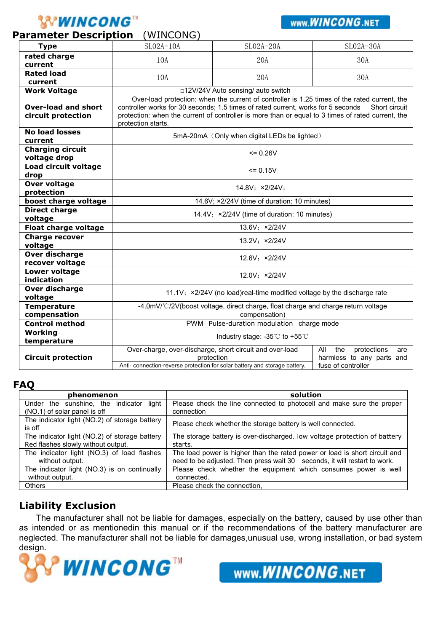# **'WINCONG"**

#### **Parameter Description** (WINCONG)

### WWW.WINCONG.NET

|                                                   | .                                                                                                                                                                                                                                                                                                                            |                                                                        |                                                               |  |  |
|---------------------------------------------------|------------------------------------------------------------------------------------------------------------------------------------------------------------------------------------------------------------------------------------------------------------------------------------------------------------------------------|------------------------------------------------------------------------|---------------------------------------------------------------|--|--|
| <b>Type</b>                                       | $SLO2A-10A$                                                                                                                                                                                                                                                                                                                  | $SLO2A-20A$                                                            | SL02A-30A                                                     |  |  |
| rated charge                                      | 10A                                                                                                                                                                                                                                                                                                                          | 20A                                                                    | 30A                                                           |  |  |
| current                                           |                                                                                                                                                                                                                                                                                                                              |                                                                        |                                                               |  |  |
| <b>Rated load</b>                                 | 10A                                                                                                                                                                                                                                                                                                                          | 20A                                                                    | 30A                                                           |  |  |
| current                                           |                                                                                                                                                                                                                                                                                                                              |                                                                        |                                                               |  |  |
| <b>Work Voltage</b>                               | □12V/24V Auto sensing/ auto switch                                                                                                                                                                                                                                                                                           |                                                                        |                                                               |  |  |
| <b>Over-load and short</b><br>circuit protection  | Over-load protection: when the current of controller is 1.25 times of the rated current, the<br>controller works for 30 seconds; 1.5 times of rated current, works for 5 seconds<br>Short circuit<br>protection: when the current of controller is more than or equal to 3 times of rated current, the<br>protection starts. |                                                                        |                                                               |  |  |
| <b>No load losses</b><br>current                  | 5mA-20mA (Only when digital LEDs be lighted)                                                                                                                                                                                                                                                                                 |                                                                        |                                                               |  |  |
| <b>Charging circuit</b><br>voltage drop           | $= 0.26V$                                                                                                                                                                                                                                                                                                                    |                                                                        |                                                               |  |  |
| Load circuit voltage<br>drop                      | $= 0.15V$                                                                                                                                                                                                                                                                                                                    |                                                                        |                                                               |  |  |
| Over voltage<br>protection                        | 14.8V: ×2/24V:                                                                                                                                                                                                                                                                                                               |                                                                        |                                                               |  |  |
| boost charge voltage                              | 14.6V; ×2/24V (time of duration: 10 minutes)                                                                                                                                                                                                                                                                                 |                                                                        |                                                               |  |  |
| Direct charge                                     | 14.4V; ×2/24V (time of duration: 10 minutes)                                                                                                                                                                                                                                                                                 |                                                                        |                                                               |  |  |
| voltage                                           |                                                                                                                                                                                                                                                                                                                              |                                                                        |                                                               |  |  |
| 13.6V: ×2/24V<br>Float charge voltage             |                                                                                                                                                                                                                                                                                                                              |                                                                        |                                                               |  |  |
| <b>Charge recover</b><br>13.2V: ×2/24V<br>voltage |                                                                                                                                                                                                                                                                                                                              |                                                                        |                                                               |  |  |
| Over discharge<br>recover voltage                 | 12.6V: ×2/24V                                                                                                                                                                                                                                                                                                                |                                                                        |                                                               |  |  |
| <b>Lower voltage</b><br>indication                | 12.0V: ×2/24V                                                                                                                                                                                                                                                                                                                |                                                                        |                                                               |  |  |
| Over discharge<br>voltage                         | 11.1V; x2/24V (no load) real-time modified voltage by the discharge rate                                                                                                                                                                                                                                                     |                                                                        |                                                               |  |  |
| <b>Temperature</b>                                | -4.0mV/°C/2V(boost voltage, direct charge, float charge and charge return voltage                                                                                                                                                                                                                                            |                                                                        |                                                               |  |  |
| compensation                                      | compensation)                                                                                                                                                                                                                                                                                                                |                                                                        |                                                               |  |  |
| <b>Control method</b>                             | PWM Pulse-duration modulation charge mode                                                                                                                                                                                                                                                                                    |                                                                        |                                                               |  |  |
| Working                                           | Industry stage: $-35^{\circ}$ C to $+55^{\circ}$ C                                                                                                                                                                                                                                                                           |                                                                        |                                                               |  |  |
| temperature                                       |                                                                                                                                                                                                                                                                                                                              |                                                                        |                                                               |  |  |
| <b>Circuit protection</b>                         |                                                                                                                                                                                                                                                                                                                              | Over-charge, over-discharge, short circuit and over-load<br>protection | All<br>the<br>protections<br>are<br>harmless to any parts and |  |  |
|                                                   | fuse of controller<br>Anti-connection-reverse protection for solar battery and storage battery.                                                                                                                                                                                                                              |                                                                        |                                                               |  |  |

#### **FAQ**

| phenomenon                                                                 | solution                                                                            |  |  |
|----------------------------------------------------------------------------|-------------------------------------------------------------------------------------|--|--|
| Under the sunshine, the indicator<br>light<br>(NO.1) of solar panel is off | Please check the line connected to photocell and make sure the proper<br>connection |  |  |
| The indicator light (NO.2) of storage battery<br>is off                    | Please check whether the storage battery is well connected.                         |  |  |
| The indicator light (NO.2) of storage battery                              | The storage battery is over-discharged. low voltage protection of battery           |  |  |
| Red flashes slowly without output.                                         | starts.                                                                             |  |  |
| The indicator light (NO.3) of load flashes                                 | The load power is higher than the rated power or load is short circuit and          |  |  |
| without output.                                                            | need to be adjusted. Then press wait 30 seconds, it will restart to work.           |  |  |
| The indicator light (NO.3) is on continually                               | Please check whether the equipment which consumes power is well                     |  |  |
| without output.                                                            | connected.                                                                          |  |  |
| <b>Others</b>                                                              | Please check the connection.                                                        |  |  |

### **Liability Exclusion**

The manufacturer shall not be liable for damages, especially on the battery, caused by use other than as intended or as mentionedin this manual or if the recommendations of the battery manufacturer are neglected. The manufacturer shall not be liable for damages,unusual use, wrong installation, or bad system design.



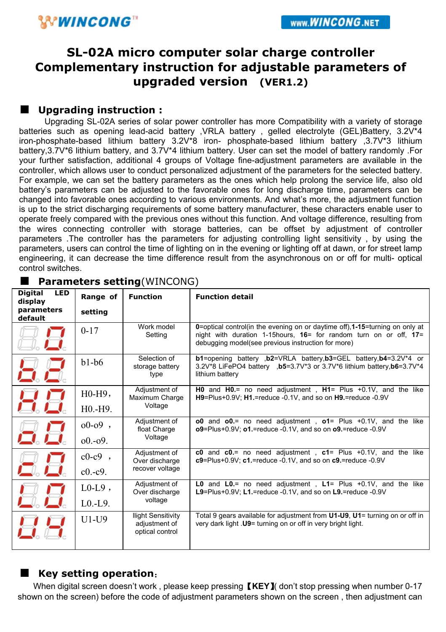# **SL-02A micro computer solar charge controller Complementary instruction for adjustable parameters of upgraded version (VER1.2)**

#### ■ **Upgrading instruction :**

Upgrading SL-02A series of solar power controller has more Compatibility with a variety of storage batteries such as opening lead-acid battery , VRLA battery , gelled electrolyte (GEL)Battery, 3.2V\*4 iron-phosphate-based lithium battery 3.2V\*8 iron- phosphate-based lithium battery ,3.7V\*3 lithium battery,3.7V\*6 lithium battery, and 3.7V\*4 lithium battery. User can set the model of battery randomly. For your further satisfaction, additional 4 groups of Voltage fine-adjustment parameters are available in the controller, which allows user to conduct personalized adjustment of the parameters for the selected battery. For example, we can set the battery parameters as the ones which help prolong the service life, also old battery's parameters can be adjusted to the favorable ones for long discharge time, parameters can be changed into favorable ones according to various environments. And what's more, the adjustment function is up to the strict discharging requirements of some battery manufacturer, these characters enable user to operate freely compared with the previous ones without this function. And voltage difference, resulting from the wires connecting controller with storage batteries, can be offset by adjustment of controller parameters .The controller has the parameters for adjusting controlling light sensitivity , by using the parameters, users can control the time of lighting on in the evening or lighting off at dawn, or for street lamp engineering, it can decrease the time difference result from the asynchronous on or off for multi- optical control switches.

| <b>Digital</b><br><b>LED</b><br>display | Range of                          | <b>Function</b>                                               | <b>Function detail</b>                                                                                                                                                                                         |  |  |
|-----------------------------------------|-----------------------------------|---------------------------------------------------------------|----------------------------------------------------------------------------------------------------------------------------------------------------------------------------------------------------------------|--|--|
| parameters<br>default                   | setting                           |                                                               |                                                                                                                                                                                                                |  |  |
|                                         | $0 - 17$                          | Work model<br>Setting                                         | 0=optical control(in the evening on or daytime off), 1-15=turning on only at<br>night with duration 1-15 hours, $16 =$ for random turn on or off, $17 =$<br>debugging model(see previous instruction for more) |  |  |
| a 2                                     | $b1-b6$                           | Selection of<br>storage battery<br>type                       | b1=opening battery , b2=VRLA battery, b3=GEL battery, b4=3.2V*4 or<br>3.2V*8 LiFePO4 battery .b5=3.7V*3 or 3.7V*6 lithium battery.b6=3.7V*4<br>lithium battery                                                 |  |  |
| 吕吕                                      | $H0-H9$ ,                         | Adjustment of<br>Maximum Charge                               | <b>H0</b> and $H0 =$ no need adjustment, $H1 =$ Plus $+0.1V$ , and the like<br>H9=Plus+0.9V; H1.=reduce -0.1V, and so on H9.=reduce -0.9V                                                                      |  |  |
|                                         | H <sub>0</sub> .-H <sub>9</sub> . | Voltage                                                       |                                                                                                                                                                                                                |  |  |
| a B                                     | $00-09$ ,                         | Adjustment of<br>float Charge<br>Voltage                      | o0 and $o0$ = no need adjustment, $o1$ = Plus +0.1V, and the like<br>o9=Plus+0.9V; o1.=reduce -0.1V, and so on o9.=reduce -0.9V                                                                                |  |  |
|                                         | $0.0 - 0.09$ .                    |                                                               |                                                                                                                                                                                                                |  |  |
|                                         | $c0-c9$ ,                         | Adjustment of<br>Over discharge                               | c0 and $c0$ = no need adjustment, $c1$ = Plus +0.1V, and the like<br>$c9 =$ Plus+0.9V; $c1$ .=reduce -0.1V, and so on $c9$ .=reduce -0.9V                                                                      |  |  |
|                                         | $c0.-c9.$                         | recover voltage                                               |                                                                                                                                                                                                                |  |  |
|                                         | $LO-L9$ ,                         | Adjustment of<br>Over discharge                               | <b>L0</b> and $L0 =$ no need adjustment $L1 =$ Plus $+0.1V$ , and the like<br>L9=Plus+0.9V; L1.=reduce -0.1V, and so on L9.=reduce -0.9V                                                                       |  |  |
|                                         | $L0.-L9.$                         | voltage                                                       |                                                                                                                                                                                                                |  |  |
|                                         | $U1-U9$                           | <b>Ilight Sensitivity</b><br>adjustment of<br>optical control | Total 9 gears available for adjustment from U1-U9, U1= turning on or off in<br>very dark light . U9= turning on or off in very bright light.                                                                   |  |  |

### ■ **Parameters setting**(WINCONG)

### ■ Key setting operation:

When digital screen doesn't work , please keep pressing 【**KEY**】( don't stop pressing when number 0-17 shown on the screen) before the code of adjustment parameters shown on the screen , then adjustment can